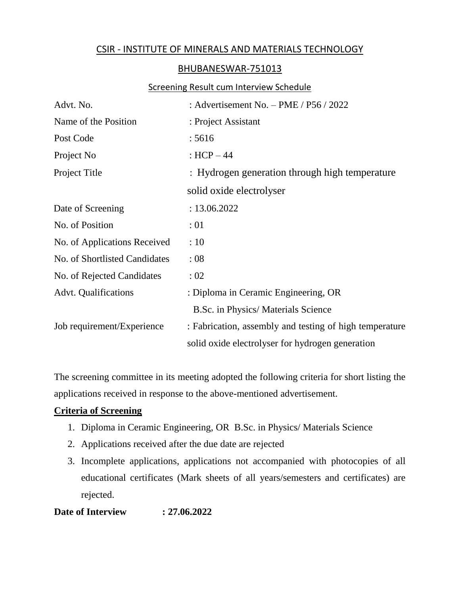# CSIR - INSTITUTE OF MINERALS AND MATERIALS TECHNOLOGY

## BHUBANESWAR-751013

#### Screening Result cum Interview Schedule

| Advt. No.                     | : Advertisement No. $-$ PME / P56 / 2022                |  |  |
|-------------------------------|---------------------------------------------------------|--|--|
| Name of the Position          | : Project Assistant                                     |  |  |
| Post Code                     | : 5616                                                  |  |  |
| Project No                    | : $HCP - 44$                                            |  |  |
| Project Title                 | : Hydrogen generation through high temperature          |  |  |
|                               | solid oxide electrolyser                                |  |  |
| Date of Screening             | : 13.06.2022                                            |  |  |
| No. of Position               | :01                                                     |  |  |
| No. of Applications Received  | :10                                                     |  |  |
| No. of Shortlisted Candidates | :08                                                     |  |  |
| No. of Rejected Candidates    | :02                                                     |  |  |
| <b>Advt. Qualifications</b>   | : Diploma in Ceramic Engineering, OR                    |  |  |
|                               | B.Sc. in Physics/ Materials Science                     |  |  |
| Job requirement/Experience    | : Fabrication, assembly and testing of high temperature |  |  |
|                               | solid oxide electrolyser for hydrogen generation        |  |  |

The screening committee in its meeting adopted the following criteria for short listing the applications received in response to the above-mentioned advertisement.

## **Criteria of Screening**

- 1. Diploma in Ceramic Engineering, OR B.Sc. in Physics/ Materials Science
- 2. Applications received after the due date are rejected
- 3. Incomplete applications, applications not accompanied with photocopies of all educational certificates (Mark sheets of all years/semesters and certificates) are rejected.

## **Date of Interview : 27.06.2022**